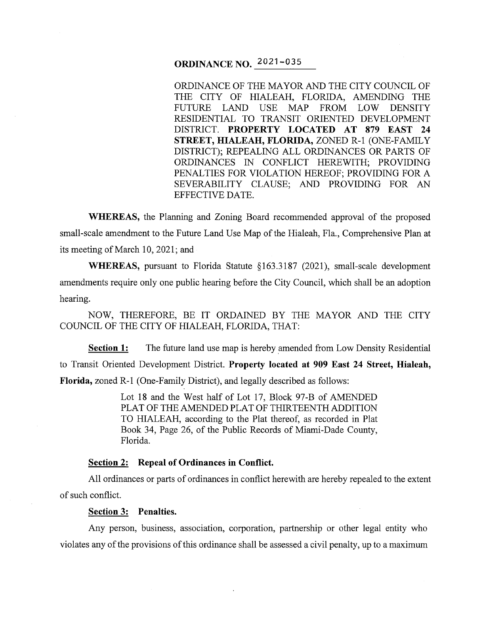# **ORDINANCE NO.** 2021-035

ORDINANCE OF THE MAYOR AND THE CITY COUNCIL OF THE CITY OF HIALEAH, FLORIDA, AMENDING THE FUTURE LAND USE MAP FROM LOW DENSITY RESIDENTIAL TO TRANSIT ORIENTED DEVELOPMENT DISTRICT. **PROPERTY LOCATED AT 879 EAST 24 STREET, HIALEAH, FLORIDA,** ZONED R-1 (ONE-FAMILY DISTRICT); REPEALING ALL ORDINANCES OR PARTS OF ORDINANCES IN CONFLICT HEREWITH; PROVIDING PENALTIES FOR VIOLATION HEREOF; PROVIDING FOR A SEVERABILITY CLAUSE; AND PROVIDING FOR AN EFFECTIVE DATE.

**WHEREAS,** the Planning and Zoning Board recommended approval of the proposed small-scale amendment to the Future Land Use Map of the Hialeah, Fla., Comprehensive Plan at its meeting of March 10, 2021; and

**WHEREAS,** pursuant to Florida Statute §163.3187 (2021), small-scale development amendments require only one public hearing before the City Council, which shall be an adoption hearing.

NOW, THEREFORE, BE IT ORDAINED BY THE MAYOR AND THE CITY COUNCIL OF THE CITY OF HIALEAH, FLORIDA, THAT:

**Section 1:** The future land use map is hereby amended from Low Density Residential to Transit Oriented Development District. **Property located at 909 East 24 Street, Hialeah, Florida,** zoned R-1 (One-Family District), and legally described as follows:

> Lot 18 and the West half of Lot 17, Block 97-B of AMENDED PLAT OF THE AMENDED PLAT OF THIRTEENTH ADDITION TO HIALEAH, according to the Plat thereof, as recorded in Plat Book 34, Page 26, of the Public Records of Miami-Dade County, Florida.

## **Section 2: Repeal of Ordinances in Conflict.**

All ordinances or parts of ordinances in conflict herewith are hereby repealed to the extent of such conflict.

#### **Section 3: Penalties.**

Any person, business, association, corporation, partnership or other legal entity who violates any of the provisions of this ordinance shall be assessed a civil penalty, up to a maximum